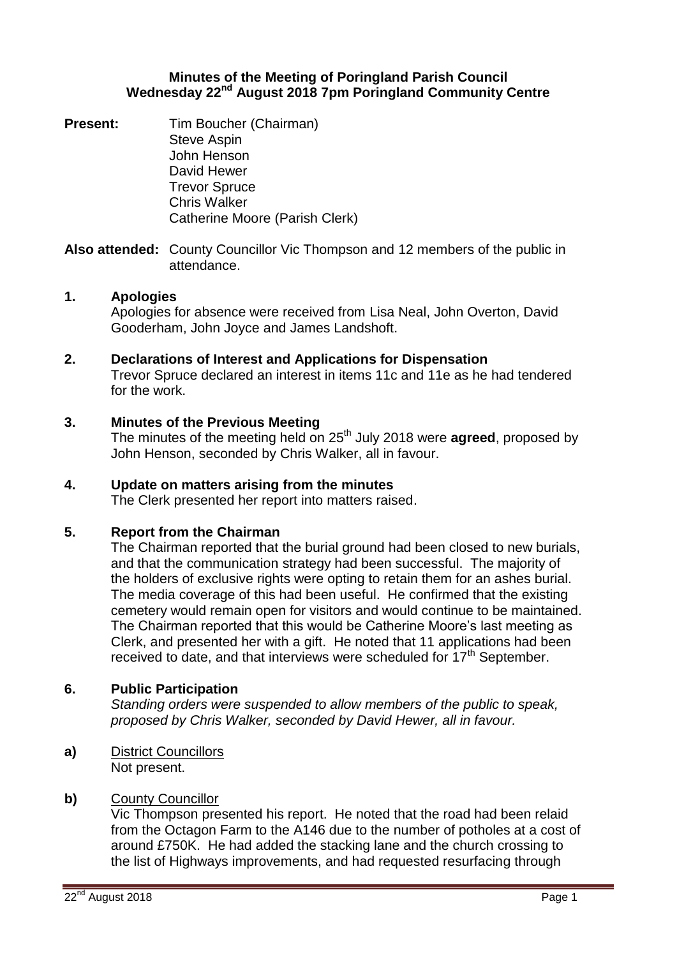## **Minutes of the Meeting of Poringland Parish Council Wednesday 22nd August 2018 7pm Poringland Community Centre**

**Present:** Tim Boucher (Chairman) Steve Aspin John Henson David Hewer Trevor Spruce Chris Walker Catherine Moore (Parish Clerk)

**Also attended:** County Councillor Vic Thompson and 12 members of the public in attendance.

# **1. Apologies**

Apologies for absence were received from Lisa Neal, John Overton, David Gooderham, John Joyce and James Landshoft.

## **2. Declarations of Interest and Applications for Dispensation**

Trevor Spruce declared an interest in items 11c and 11e as he had tendered for the work.

## **3. Minutes of the Previous Meeting**

The minutes of the meeting held on 25<sup>th</sup> July 2018 were **agreed**, proposed by John Henson, seconded by Chris Walker, all in favour.

## **4. Update on matters arising from the minutes**

The Clerk presented her report into matters raised.

## **5. Report from the Chairman**

The Chairman reported that the burial ground had been closed to new burials, and that the communication strategy had been successful. The majority of the holders of exclusive rights were opting to retain them for an ashes burial. The media coverage of this had been useful. He confirmed that the existing cemetery would remain open for visitors and would continue to be maintained. The Chairman reported that this would be Catherine Moore's last meeting as Clerk, and presented her with a gift. He noted that 11 applications had been received to date, and that interviews were scheduled for  $17<sup>th</sup>$  September.

## **6. Public Participation**

*Standing orders were suspended to allow members of the public to speak, proposed by Chris Walker, seconded by David Hewer, all in favour.*

**a)** District Councillors Not present.

## **b)** County Councillor

Vic Thompson presented his report. He noted that the road had been relaid from the Octagon Farm to the A146 due to the number of potholes at a cost of around £750K. He had added the stacking lane and the church crossing to the list of Highways improvements, and had requested resurfacing through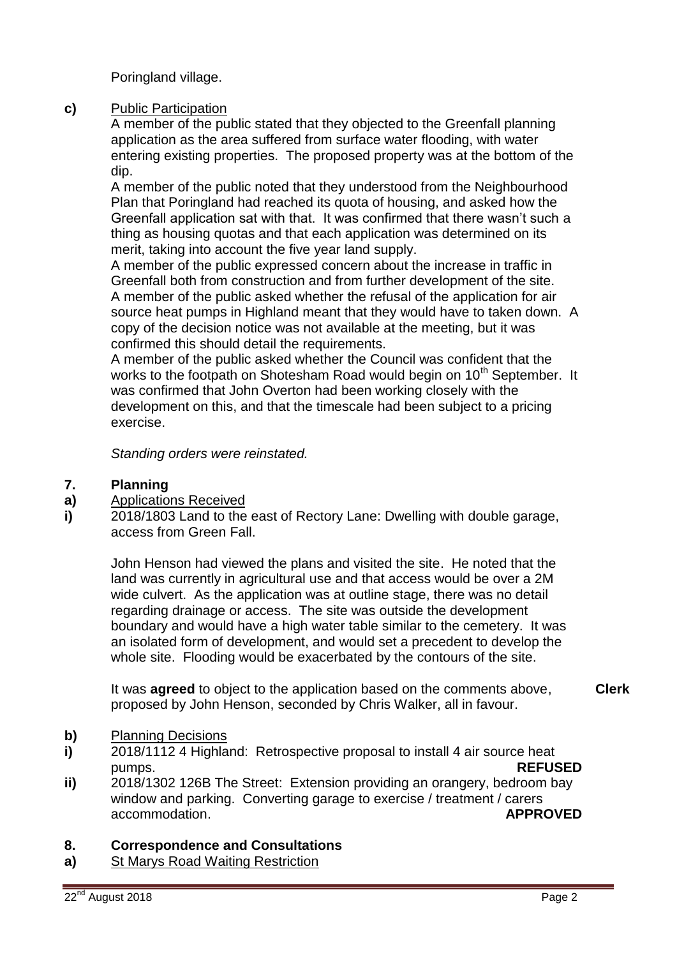Poringland village.

# **c)** Public Participation

A member of the public stated that they objected to the Greenfall planning application as the area suffered from surface water flooding, with water entering existing properties. The proposed property was at the bottom of the dip.

A member of the public noted that they understood from the Neighbourhood Plan that Poringland had reached its quota of housing, and asked how the Greenfall application sat with that. It was confirmed that there wasn't such a thing as housing quotas and that each application was determined on its merit, taking into account the five year land supply.

A member of the public expressed concern about the increase in traffic in Greenfall both from construction and from further development of the site. A member of the public asked whether the refusal of the application for air source heat pumps in Highland meant that they would have to taken down. A copy of the decision notice was not available at the meeting, but it was confirmed this should detail the requirements.

A member of the public asked whether the Council was confident that the works to the footpath on Shotesham Road would begin on 10<sup>th</sup> September. It was confirmed that John Overton had been working closely with the development on this, and that the timescale had been subject to a pricing exercise.

*Standing orders were reinstated.* 

#### **7. Planning**

- **a)** Applications Received
- **i)** 2018/1803 Land to the east of Rectory Lane: Dwelling with double garage, access from Green Fall.

John Henson had viewed the plans and visited the site. He noted that the land was currently in agricultural use and that access would be over a 2M wide culvert. As the application was at outline stage, there was no detail regarding drainage or access. The site was outside the development boundary and would have a high water table similar to the cemetery. It was an isolated form of development, and would set a precedent to develop the whole site. Flooding would be exacerbated by the contours of the site.

It was **agreed** to object to the application based on the comments above, proposed by John Henson, seconded by Chris Walker, all in favour. **Clerk**

#### **b)** Planning Decisions

- **i)** 2018/1112 4 Highland: Retrospective proposal to install 4 air source heat pumps. **REFUSED**
- **ii)** 2018/1302 126B The Street: Extension providing an orangery, bedroom bay window and parking. Converting garage to exercise / treatment / carers accommodation. **APPROVED**

#### **8. Correspondence and Consultations**

**a)** St Marys Road Waiting Restriction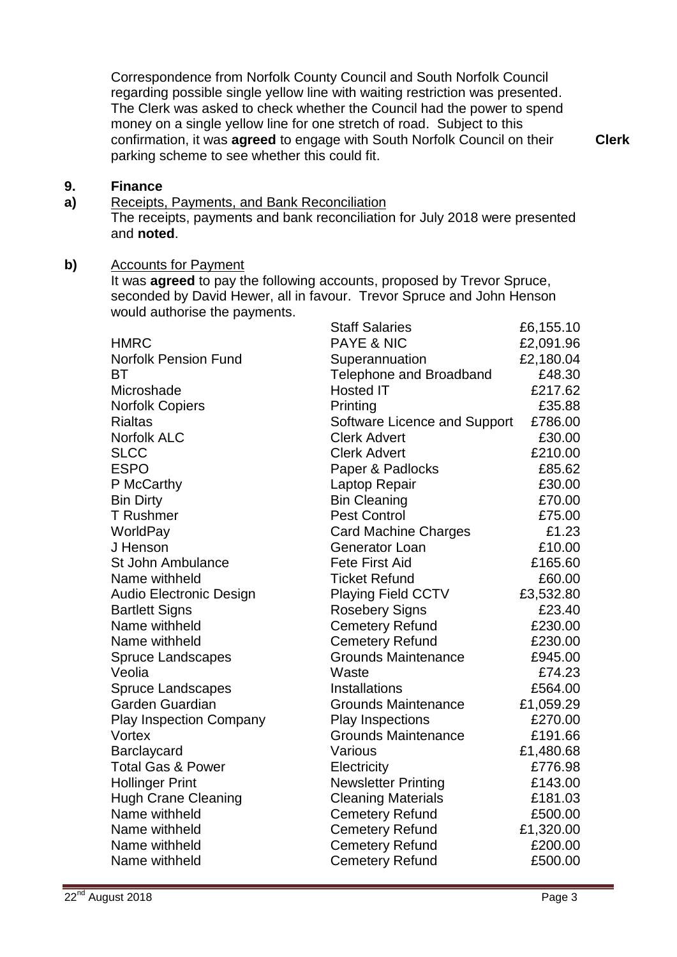Correspondence from Norfolk County Council and South Norfolk Council regarding possible single yellow line with waiting restriction was presented. The Clerk was asked to check whether the Council had the power to spend money on a single yellow line for one stretch of road. Subject to this confirmation, it was **agreed** to engage with South Norfolk Council on their parking scheme to see whether this could fit.

**Clerk**

#### **9. Finance**

**a)** Receipts, Payments, and Bank Reconciliation

The receipts, payments and bank reconciliation for July 2018 were presented and **noted**.

# **b)** Accounts for Payment

It was **agreed** to pay the following accounts, proposed by Trevor Spruce, seconded by David Hewer, all in favour. Trevor Spruce and John Henson would authorise the payments.

|                                | <b>Staff Salaries</b>        | £6,155.10 |
|--------------------------------|------------------------------|-----------|
| <b>HMRC</b>                    | <b>PAYE &amp; NIC</b>        | £2,091.96 |
| <b>Norfolk Pension Fund</b>    | Superannuation               | £2,180.04 |
| <b>BT</b>                      | Telephone and Broadband      | £48.30    |
| Microshade                     | <b>Hosted IT</b>             | £217.62   |
| <b>Norfolk Copiers</b>         | Printing                     | £35.88    |
| <b>Rialtas</b>                 | Software Licence and Support | £786.00   |
| <b>Norfolk ALC</b>             | <b>Clerk Advert</b>          | £30.00    |
| <b>SLCC</b>                    | <b>Clerk Advert</b>          | £210.00   |
| <b>ESPO</b>                    | Paper & Padlocks             | £85.62    |
| P McCarthy                     | Laptop Repair                | £30.00    |
| <b>Bin Dirty</b>               | <b>Bin Cleaning</b>          | £70.00    |
| <b>T</b> Rushmer               | <b>Pest Control</b>          | £75.00    |
| WorldPay                       | <b>Card Machine Charges</b>  | £1.23     |
| J Henson                       | Generator Loan               | £10.00    |
| <b>St John Ambulance</b>       | <b>Fete First Aid</b>        | £165.60   |
| Name withheld                  | <b>Ticket Refund</b>         | £60.00    |
| Audio Electronic Design        | <b>Playing Field CCTV</b>    | £3,532.80 |
| <b>Bartlett Signs</b>          | <b>Rosebery Signs</b>        | £23.40    |
| Name withheld                  | <b>Cemetery Refund</b>       | £230.00   |
| Name withheld                  | <b>Cemetery Refund</b>       | £230.00   |
| <b>Spruce Landscapes</b>       | <b>Grounds Maintenance</b>   | £945.00   |
| Veolia                         | Waste                        | £74.23    |
| <b>Spruce Landscapes</b>       | <b>Installations</b>         | £564.00   |
| Garden Guardian                | <b>Grounds Maintenance</b>   | £1,059.29 |
| <b>Play Inspection Company</b> | Play Inspections             | £270.00   |
| Vortex                         | <b>Grounds Maintenance</b>   | £191.66   |
| Barclaycard                    | Various                      | £1,480.68 |
| <b>Total Gas &amp; Power</b>   | Electricity                  | £776.98   |
| <b>Hollinger Print</b>         | <b>Newsletter Printing</b>   | £143.00   |
| <b>Hugh Crane Cleaning</b>     | <b>Cleaning Materials</b>    | £181.03   |
| Name withheld                  | <b>Cemetery Refund</b>       | £500.00   |
| Name withheld                  | <b>Cemetery Refund</b>       | £1,320.00 |
| Name withheld                  | <b>Cemetery Refund</b>       | £200.00   |
| Name withheld                  | <b>Cemetery Refund</b>       | £500.00   |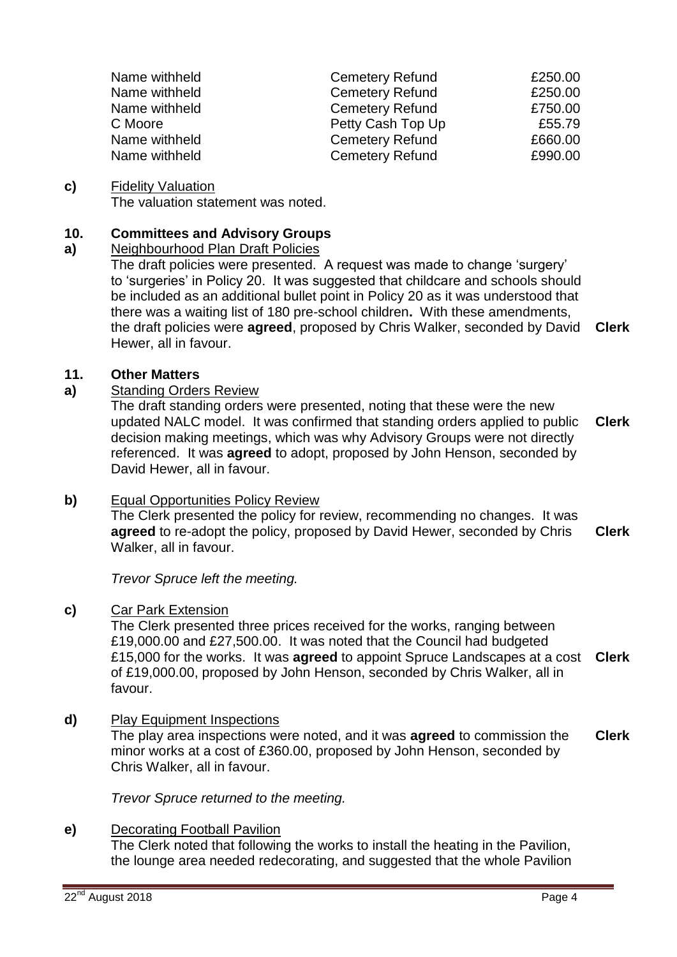| Name withheld | <b>Cemetery Refund</b> | £250.00 |
|---------------|------------------------|---------|
| Name withheld | <b>Cemetery Refund</b> | £250.00 |
| Name withheld | <b>Cemetery Refund</b> | £750.00 |
| C Moore       | Petty Cash Top Up      | £55.79  |
| Name withheld | <b>Cemetery Refund</b> | £660.00 |
| Name withheld | <b>Cemetery Refund</b> | £990.00 |

#### **c)** Fidelity Valuation

The valuation statement was noted.

#### **10. Committees and Advisory Groups**

#### **a)** Neighbourhood Plan Draft Policies

The draft policies were presented. A request was made to change 'surgery' to 'surgeries' in Policy 20. It was suggested that childcare and schools should be included as an additional bullet point in Policy 20 as it was understood that there was a waiting list of 180 pre-school children**.** With these amendments, the draft policies were **agreed**, proposed by Chris Walker, seconded by David Hewer, all in favour. **Clerk**

## **11. Other Matters**

## **a)** Standing Orders Review

The draft standing orders were presented, noting that these were the new updated NALC model. It was confirmed that standing orders applied to public decision making meetings, which was why Advisory Groups were not directly referenced. It was **agreed** to adopt, proposed by John Henson, seconded by David Hewer, all in favour. **Clerk**

### **b)** Equal Opportunities Policy Review

The Clerk presented the policy for review, recommending no changes. It was **agreed** to re-adopt the policy, proposed by David Hewer, seconded by Chris Walker, all in favour. **Clerk**

*Trevor Spruce left the meeting.*

### **c)** Car Park Extension

The Clerk presented three prices received for the works, ranging between £19,000.00 and £27,500.00. It was noted that the Council had budgeted £15,000 for the works. It was **agreed** to appoint Spruce Landscapes at a cost of £19,000.00, proposed by John Henson, seconded by Chris Walker, all in favour. **Clerk**

### **d)** Play Equipment Inspections

The play area inspections were noted, and it was **agreed** to commission the minor works at a cost of £360.00, proposed by John Henson, seconded by Chris Walker, all in favour. **Clerk**

*Trevor Spruce returned to the meeting.*

## **e)** Decorating Football Pavilion

The Clerk noted that following the works to install the heating in the Pavilion, the lounge area needed redecorating, and suggested that the whole Pavilion